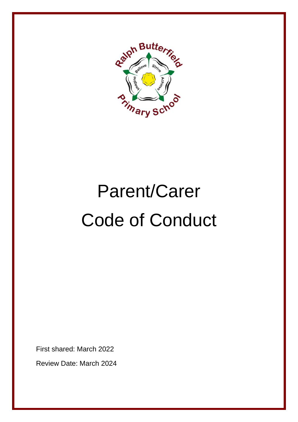

# Parent/Carer Code of Conduct

First shared: March 2022

Review Date: March 2024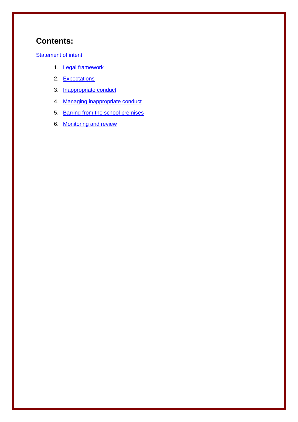## **Contents:**

#### **[Statement of intent](#page-2-0)**

- 1. **[Legal framework](#page-3-0)**
- 2. [Expectations](#page-3-1)
- 3. [Inappropriate conduct](#page-4-0)
- 4. [Managing inappropriate conduct](#page-5-0)
- 5. [Barring from the school premises](#page-6-0)
- 6. [Monitoring and review](#page-7-0)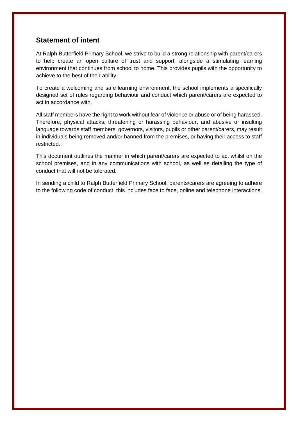### <span id="page-2-0"></span>**Statement of intent**

At Ralph Butterfield Primary School, we strive to build a strong relationship with parent/carers to help create an open culture of trust and support, alongside a stimulating learning environment that continues from school to home. This provides pupils with the opportunity to achieve to the best of their ability.

To create a welcoming and safe learning environment, the school implements a specifically designed set of rules regarding behaviour and conduct which parent/carers are expected to act in accordance with.

All staff members have the right to work without fear of violence or abuse or of being harassed. Therefore, physical attacks, threatening or harassing behaviour, and abusive or insulting language towards staff members, governors, visitors, pupils or other parent/carers, may result in individuals being removed and/or banned from the premises, or having their access to staff restricted.

This document outlines the manner in which parent/carers are expected to act whilst on the school premises, and in any communications with school, as well as detailing the type of conduct that will not be tolerated.

In sending a child to Ralph Butterfield Primary School, parents/carers are agreeing to adhere to the following code of conduct; this includes face to face, online and telephone interactions.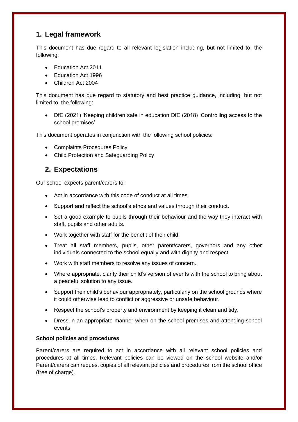## <span id="page-3-0"></span>**1. Legal framework**

This document has due regard to all relevant legislation including, but not limited to, the following:

- Education Act 2011
- Fducation Act 1996
- Children Act 2004

This document has due regard to statutory and best practice guidance, including, but not limited to, the following:

• DfE (2021) 'Keeping children safe in education DfE (2018) 'Controlling access to the school premises'

This document operates in conjunction with the following school policies:

- Complaints Procedures Policy
- Child Protection and Safeguarding Policy

## <span id="page-3-1"></span>**2. Expectations**

Our school expects parent/carers to:

- Act in accordance with this code of conduct at all times.
- Support and reflect the school's ethos and values through their conduct.
- Set a good example to pupils through their behaviour and the way they interact with staff, pupils and other adults.
- Work together with staff for the benefit of their child.
- Treat all staff members, pupils, other parent/carers, governors and any other individuals connected to the school equally and with dignity and respect.
- Work with staff members to resolve any issues of concern.
- Where appropriate, clarify their child's version of events with the school to bring about a peaceful solution to any issue.
- Support their child's behaviour appropriately, particularly on the school grounds where it could otherwise lead to conflict or aggressive or unsafe behaviour.
- Respect the school's property and environment by keeping it clean and tidy.
- Dress in an appropriate manner when on the school premises and attending school events.

#### **School policies and procedures**

Parent/carers are required to act in accordance with all relevant school policies and procedures at all times. Relevant policies can be viewed on the school website and/or Parent/carers can request copies of all relevant policies and procedures from the school office (free of charge).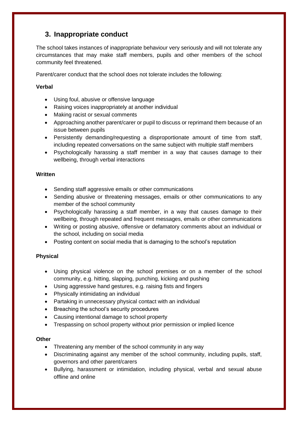## <span id="page-4-0"></span>**3. [Inappropriate conduct](file:///G:/Shared%20drives/RB%20SLT/Policies%20and%20Procedures/Policies/1.%20Approved/3.%09Inappropriate%20conduct)**

The school takes instances of inappropriate behaviour very seriously and will not tolerate any circumstances that may make staff members, pupils and other members of the school community feel threatened.

Parent/carer conduct that the school does not tolerate includes the following:

#### **Verbal**

- Using foul, abusive or offensive language
- Raising voices inappropriately at another individual
- Making racist or sexual comments
- Approaching another parent/carer or pupil to discuss or reprimand them because of an issue between pupils
- Persistently demanding/requesting a disproportionate amount of time from staff, including repeated conversations on the same subject with multiple staff members
- Psychologically harassing a staff member in a way that causes damage to their wellbeing, through verbal interactions

#### **Written**

- Sending staff aggressive emails or other communications
- Sending abusive or threatening messages, emails or other communications to any member of the school community
- Psychologically harassing a staff member, in a way that causes damage to their wellbeing, through repeated and frequent messages, emails or other communications
- Writing or posting abusive, offensive or defamatory comments about an individual or the school, including on social media
- Posting content on social media that is damaging to the school's reputation

#### **Physical**

- Using physical violence on the school premises or on a member of the school community, e.g. hitting, slapping, punching, kicking and pushing
- Using aggressive hand gestures, e.g. raising fists and fingers
- Physically intimidating an individual
- Partaking in unnecessary physical contact with an individual
- Breaching the school's security procedures
- Causing intentional damage to school property
- Trespassing on school property without prior permission or implied licence

#### **Other**

- Threatening any member of the school community in any way
- Discriminating against any member of the school community, including pupils, staff, governors and other parent/carers
- Bullying, harassment or intimidation, including physical, verbal and sexual abuse offline and online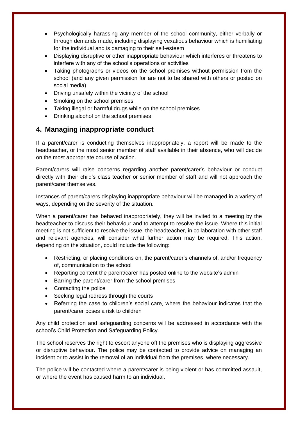- Psychologically harassing any member of the school community, either verbally or through demands made, including displaying vexatious behaviour which is humiliating for the individual and is damaging to their self-esteem
- Displaying disruptive or other inappropriate behaviour which interferes or threatens to interfere with any of the school's operations or activities
- Taking photographs or videos on the school premises without permission from the school (and any given permission for are not to be shared with others or posted on social media)
- Driving unsafely within the vicinity of the school
- Smoking on the school premises
- Taking illegal or harmful drugs while on the school premises
- Drinking alcohol on the school premises

## <span id="page-5-0"></span>**4. Managing inappropriate conduct**

If a parent/carer is conducting themselves inappropriately, a report will be made to the headteacher, or the most senior member of staff available in their absence, who will decide on the most appropriate course of action.

Parent/carers will raise concerns regarding another parent/carer's behaviour or conduct directly with their child's class teacher or senior member of staff and will not approach the parent/carer themselves.

Instances of parent/carers displaying inappropriate behaviour will be managed in a variety of ways, depending on the severity of the situation.

When a parent/carer has behaved inappropriately, they will be invited to a meeting by the headteacher to discuss their behaviour and to attempt to resolve the issue. Where this initial meeting is not sufficient to resolve the issue, the headteacher, in collaboration with other staff and relevant agencies, will consider what further action may be required. This action, depending on the situation, could include the following:

- Restricting, or placing conditions on, the parent/carer's channels of, and/or frequency of, communication to the school
- Reporting content the parent/carer has posted online to the website's admin
- Barring the parent/carer from the school premises
- Contacting the police
- Seeking legal redress through the courts
- Referring the case to children's social care, where the behaviour indicates that the parent/carer poses a risk to children

Any child protection and safeguarding concerns will be addressed in accordance with the school's Child Protection and Safeguarding Policy.

The school reserves the right to escort anyone off the premises who is displaying aggressive or disruptive behaviour. The police may be contacted to provide advice on managing an incident or to assist in the removal of an individual from the premises, where necessary.

The police will be contacted where a parent/carer is being violent or has committed assault, or where the event has caused harm to an individual.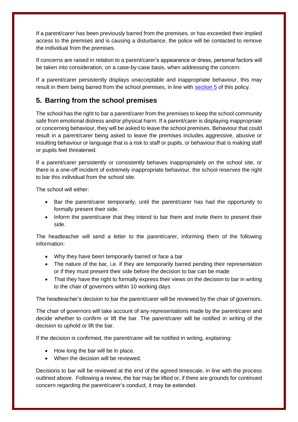If a parent/carer has been previously barred from the premises, or has exceeded their implied access to the premises and is causing a disturbance, the police will be contacted to remove the individual from the premises.

If concerns are raised in relation to a parent/carer's appearance or dress, personal factors will be taken into consideration, on a case-by-case basis, when addressing the concern.

If a parent/carer persistently displays unacceptable and inappropriate behaviour, this may result in them being barred from the school premises, in line with [section 5](#page-6-0) of this policy.

## <span id="page-6-0"></span>**5. Barring from the school premises**

The school has the right to bar a parent/carer from the premises to keep the school community safe from emotional distress and/or physical harm. If a parent/carer is displaying inappropriate or concerning behaviour, they will be asked to leave the school premises. Behaviour that could result in a parent/carer being asked to leave the premises includes aggressive, abusive or insulting behaviour or language that is a risk to staff or pupils, or behaviour that is making staff or pupils feel threatened.

If a parent/carer persistently or consistently behaves inappropriately on the school site, or there is a one-off incident of extremely inappropriate behaviour, the school reserves the right to bar this individual from the school site.

The school will either:

- Bar the parent/carer temporarily, until the parent/carer has had the opportunity to formally present their side.
- Inform the parent/carer that they intend to bar them and invite them to present their side.

The headteacher will send a letter to the parent/carer, informing them of the following information:

- Why they have been temporarily barred or face a bar
- The nature of the bar, i.e. if they are temporarily barred pending their representation or if they must present their side before the decision to bar can be made
- That they have the right to formally express their views on the decision to bar in writing to the chair of governors within 10 working days

The headteacher's decision to bar the parent/carer will be reviewed by the chair of governors.

The chair of governors will take account of any representations made by the parent/carer and decide whether to confirm or lift the bar. The parent/carer will be notified in writing of the decision to uphold or lift the bar.

If the decision is confirmed, the parent/carer will be notified in writing, explaining:

- How long the bar will be in place.
- When the decision will be reviewed.

Decisions to bar will be reviewed at the end of the agreed timescale, in line with the process outlined above. Following a review, the bar may be lifted or, if there are grounds for continued concern regarding the parent/carer's conduct, it may be extended.